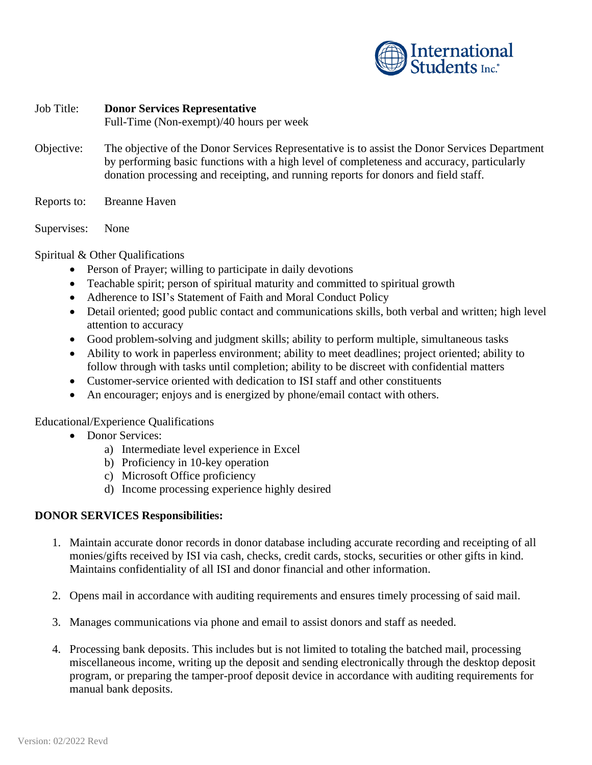

## Job Title: **Donor Services Representative**

Full-Time (Non-exempt)/40 hours per week

- Objective: The objective of the Donor Services Representative is to assist the Donor Services Department by performing basic functions with a high level of completeness and accuracy, particularly donation processing and receipting, and running reports for donors and field staff.
- Reports to: Breanne Haven
- Supervises: None

Spiritual & Other Qualifications

- Person of Prayer; willing to participate in daily devotions
- Teachable spirit; person of spiritual maturity and committed to spiritual growth
- Adherence to ISI's Statement of Faith and Moral Conduct Policy
- Detail oriented; good public contact and communications skills, both verbal and written; high level attention to accuracy
- Good problem-solving and judgment skills; ability to perform multiple, simultaneous tasks
- Ability to work in paperless environment; ability to meet deadlines; project oriented; ability to follow through with tasks until completion; ability to be discreet with confidential matters
- Customer-service oriented with dedication to ISI staff and other constituents
- An encourager; enjoys and is energized by phone/email contact with others.

## Educational/Experience Qualifications

- Donor Services:
	- a) Intermediate level experience in Excel
	- b) Proficiency in 10-key operation
	- c) Microsoft Office proficiency
	- d) Income processing experience highly desired

## **DONOR SERVICES Responsibilities:**

- 1. Maintain accurate donor records in donor database including accurate recording and receipting of all monies/gifts received by ISI via cash, checks, credit cards, stocks, securities or other gifts in kind. Maintains confidentiality of all ISI and donor financial and other information.
- 2. Opens mail in accordance with auditing requirements and ensures timely processing of said mail.
- 3. Manages communications via phone and email to assist donors and staff as needed.
- 4. Processing bank deposits. This includes but is not limited to totaling the batched mail, processing miscellaneous income, writing up the deposit and sending electronically through the desktop deposit program, or preparing the tamper-proof deposit device in accordance with auditing requirements for manual bank deposits.